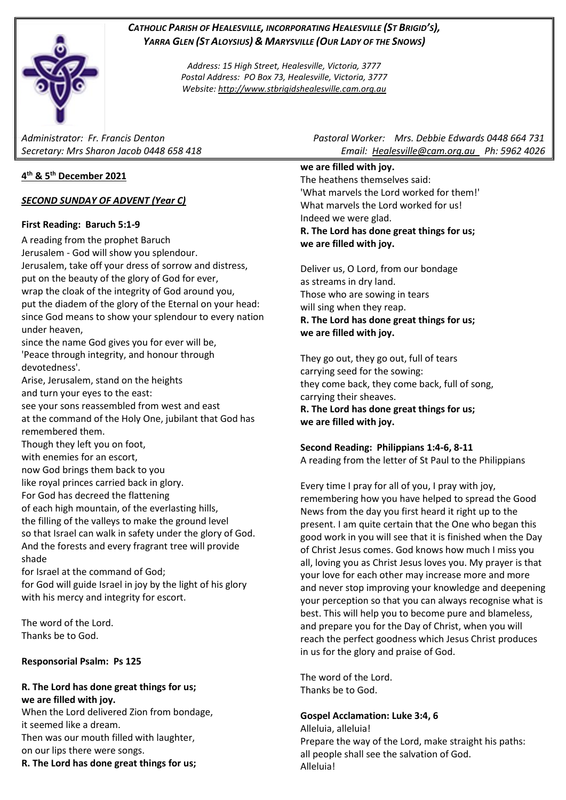# *CATHOLIC PARISH OF HEALESVILLE, INCORPORATING HEALESVILLE (ST BRIGID'S), YARRA GLEN (ST ALOYSIUS) & MARYSVILLE (OUR LADY OF THE SNOWS)*

*Address: 15 High Street, Healesville, Victoria, 3777 Postal Address: PO Box 73, Healesville, Victoria, 3777 Website: [http://www.stbrigidshealesville.cam.org.au](http://www.stbrigidshealesville.cam.org.au/)*

# **4 th & 5th December 2021**

# *SECOND SUNDAY OF ADVENT (Year C)*

## **First Reading: Baruch 5:1-9**

A reading from the prophet Baruch Jerusalem - God will show you splendour. Jerusalem, take off your dress of sorrow and distress, put on the beauty of the glory of God for ever, wrap the cloak of the integrity of God around you, put the diadem of the glory of the Eternal on your head: since God means to show your splendour to every nation under heaven,

since the name God gives you for ever will be, 'Peace through integrity, and honour through devotedness'.

Arise, Jerusalem, stand on the heights and turn your eyes to the east: see your sons reassembled from west and east at the command of the Holy One, jubilant that God has remembered them.

Though they left you on foot, with enemies for an escort, now God brings them back to you like royal princes carried back in glory. For God has decreed the flattening

of each high mountain, of the everlasting hills, the filling of the valleys to make the ground level so that Israel can walk in safety under the glory of God. And the forests and every fragrant tree will provide shade

for Israel at the command of God; for God will guide Israel in joy by the light of his glory with his mercy and integrity for escort.

The word of the Lord. Thanks be to God.

## **Responsorial Psalm: Ps 125**

# **R. The Lord has done great things for us; we are filled with joy.**

When the Lord delivered Zion from bondage, it seemed like a dream. Then was our mouth filled with laughter, on our lips there were songs. **R. The Lord has done great things for us;**

*Administrator: Fr. Francis Denton Pastoral Worker: Mrs. Debbie Edwards 0448 664 731 Secretary: Mrs Sharon Jacob 0448 658 418 Email: [Healesville@cam.org.au](mailto:Healesville@cam.org.au) Ph: 5962 4026* 

# **we are filled with joy.**

The heathens themselves said: 'What marvels the Lord worked for them!' What marvels the Lord worked for us! Indeed we were glad. **R. The Lord has done great things for us; we are filled with joy.**

Deliver us, O Lord, from our bondage as streams in dry land. Those who are sowing in tears will sing when they reap. **R. The Lord has done great things for us; we are filled with joy.**

They go out, they go out, full of tears carrying seed for the sowing: they come back, they come back, full of song, carrying their sheaves. **R. The Lord has done great things for us; we are filled with joy.**

#### **Second Reading: Philippians 1:4-6, 8-11** A reading from the letter of St Paul to the Philippians

Every time I pray for all of you, I pray with joy, remembering how you have helped to spread the Good News from the day you first heard it right up to the present. I am quite certain that the One who began this good work in you will see that it is finished when the Day of Christ Jesus comes. God knows how much I miss you all, loving you as Christ Jesus loves you. My prayer is that your love for each other may increase more and more and never stop improving your knowledge and deepening your perception so that you can always recognise what is best. This will help you to become pure and blameless, and prepare you for the Day of Christ, when you will reach the perfect goodness which Jesus Christ produces in us for the glory and praise of God.

The word of the Lord. Thanks be to God.

## **Gospel Acclamation: Luke 3:4, 6**

Alleluia, alleluia! Prepare the way of the Lord, make straight his paths: all people shall see the salvation of God. Alleluia!

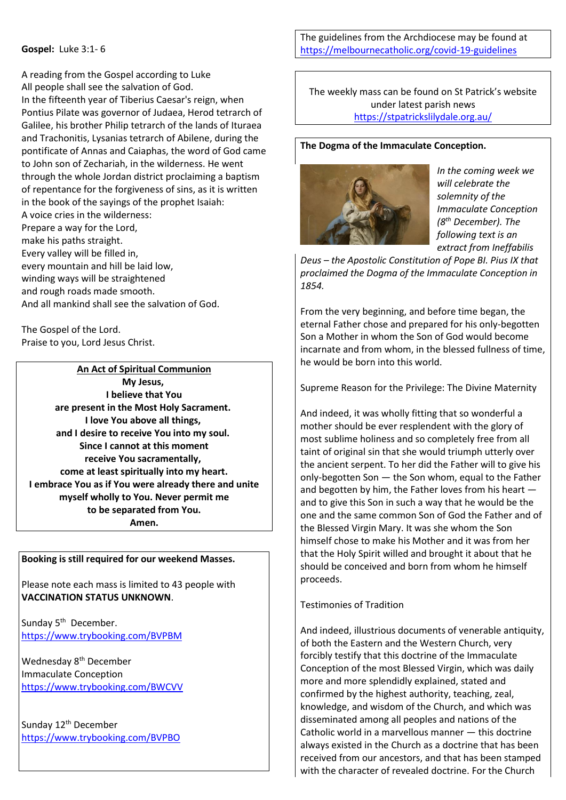**Gospel:** Luke 3:1- 6

A reading from the Gospel according to Luke All people shall see the salvation of God. In the fifteenth year of Tiberius Caesar's reign, when Pontius Pilate was governor of Judaea, Herod tetrarch of Galilee, his brother Philip tetrarch of the lands of Ituraea and Trachonitis, Lysanias tetrarch of Abilene, during the pontificate of Annas and Caiaphas, the word of God came to John son of Zechariah, in the wilderness. He went through the whole Jordan district proclaiming a baptism of repentance for the forgiveness of sins, as it is written in the book of the sayings of the prophet Isaiah: A voice cries in the wilderness: Prepare a way for the Lord, make his paths straight. Every valley will be filled in, every mountain and hill be laid low, winding ways will be straightened and rough roads made smooth. And all mankind shall see the salvation of God.

The Gospel of the Lord. Praise to you, Lord Jesus Christ.

**An Act of Spiritual Communion My Jesus, I believe that You are present in the Most Holy Sacrament. I love You above all things, and I desire to receive You into my soul. Since I cannot at this moment receive You sacramentally, come at least spiritually into my heart. I embrace You as if You were already there and unite myself wholly to You. Never permit me to be separated from You. Amen.**

#### **Booking is still required for our weekend Masses.**

Please note each mass is limited to 43 people with **VACCINATION STATUS UNKNOWN**.

Sunday 5<sup>th</sup> December. <https://www.trybooking.com/BVPBM>

Wednesday 8<sup>th</sup> December Immaculate Conception <https://www.trybooking.com/BWCVV>

Sunday 12<sup>th</sup> December <https://www.trybooking.com/BVPBO> The guidelines from the Archdiocese may be found at [https://melbournecatholic.org/covid-19-guidelines](https://melbournecatholic.org/covid-19-guidelines?fbclid=IwAR1ryINANYNplkq8jXs_Q175fnIfOaiQY-g_IIeSrTVc6diDyY0Ozs3vwKc)

The weekly mass can be found on St Patrick's website under latest parish news <https://stpatrickslilydale.org.au/>

#### **The Dogma of the Immaculate Conception.**



*In the coming week we will celebrate the solemnity of the Immaculate Conception (8th December). The following text is an extract from Ineffabilis* 

*Deus – the Apostolic Constitution of Pope BI. Pius IX that proclaimed the Dogma of the Immaculate Conception in 1854.*

From the very beginning, and before time began, the eternal Father chose and prepared for his only-begotten Son a Mother in whom the Son of God would become incarnate and from whom, in the blessed fullness of time, he would be born into this world.

Supreme Reason for the Privilege: The Divine Maternity

And indeed, it was wholly fitting that so wonderful a mother should be ever resplendent with the glory of most sublime holiness and so completely free from all taint of original sin that she would triumph utterly over the ancient serpent. To her did the Father will to give his only-begotten Son — the Son whom, equal to the Father and begotten by him, the Father loves from his heart and to give this Son in such a way that he would be the one and the same common Son of God the Father and of the Blessed Virgin Mary. It was she whom the Son himself chose to make his Mother and it was from her that the Holy Spirit willed and brought it about that he should be conceived and born from whom he himself proceeds.

Testimonies of Tradition

And indeed, illustrious documents of venerable antiquity, of both the Eastern and the Western Church, very forcibly testify that this doctrine of the Immaculate Conception of the most Blessed Virgin, which was daily more and more splendidly explained, stated and confirmed by the highest authority, teaching, zeal, knowledge, and wisdom of the Church, and which was disseminated among all peoples and nations of the Catholic world in a marvellous manner — this doctrine always existed in the Church as a doctrine that has been received from our ancestors, and that has been stamped with the character of revealed doctrine. For the Church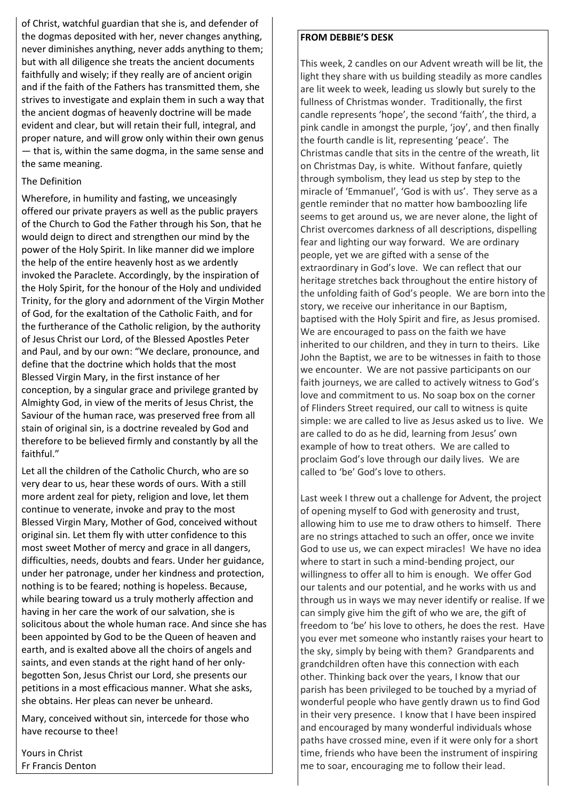of Christ, watchful guardian that she is, and defender of the dogmas deposited with her, never changes anything, never diminishes anything, never adds anything to them; but with all diligence she treats the ancient documents faithfully and wisely; if they really are of ancient origin and if the faith of the Fathers has transmitted them, she strives to investigate and explain them in such a way that the ancient dogmas of heavenly doctrine will be made evident and clear, but will retain their full, integral, and proper nature, and will grow only within their own genus — that is, within the same dogma, in the same sense and the same meaning.

#### The Definition

Wherefore, in humility and fasting, we unceasingly offered our private prayers as well as the public prayers of the Church to God the Father through his Son, that he would deign to direct and strengthen our mind by the power of the Holy Spirit. In like manner did we implore the help of the entire heavenly host as we ardently invoked the Paraclete. Accordingly, by the inspiration of the Holy Spirit, for the honour of the Holy and undivided Trinity, for the glory and adornment of the Virgin Mother of God, for the exaltation of the Catholic Faith, and for the furtherance of the Catholic religion, by the authority of Jesus Christ our Lord, of the Blessed Apostles Peter and Paul, and by our own: "We declare, pronounce, and define that the doctrine which holds that the most Blessed Virgin Mary, in the first instance of her conception, by a singular grace and privilege granted by Almighty God, in view of the merits of Jesus Christ, the Saviour of the human race, was preserved free from all stain of original sin, is a doctrine revealed by God and therefore to be believed firmly and constantly by all the faithful."

Let all the children of the Catholic Church, who are so very dear to us, hear these words of ours. With a still more ardent zeal for piety, religion and love, let them continue to venerate, invoke and pray to the most Blessed Virgin Mary, Mother of God, conceived without original sin. Let them fly with utter confidence to this most sweet Mother of mercy and grace in all dangers, difficulties, needs, doubts and fears. Under her guidance, under her patronage, under her kindness and protection, nothing is to be feared; nothing is hopeless. Because, while bearing toward us a truly motherly affection and having in her care the work of our salvation, she is solicitous about the whole human race. And since she has been appointed by God to be the Queen of heaven and earth, and is exalted above all the choirs of angels and saints, and even stands at the right hand of her onlybegotten Son, Jesus Christ our Lord, she presents our petitions in a most efficacious manner. What she asks, she obtains. Her pleas can never be unheard.

Mary, conceived without sin, intercede for those who have recourse to thee!

Yours in Christ Fr Francis Denton

### **FROM DEBBIE'S DESK**

This week, 2 candles on our Advent wreath will be lit, the light they share with us building steadily as more candles are lit week to week, leading us slowly but surely to the fullness of Christmas wonder. Traditionally, the first candle represents 'hope', the second 'faith', the third, a pink candle in amongst the purple, 'joy', and then finally the fourth candle is lit, representing 'peace'. The Christmas candle that sits in the centre of the wreath, lit on Christmas Day, is white. Without fanfare, quietly through symbolism, they lead us step by step to the miracle of 'Emmanuel', 'God is with us'. They serve as a gentle reminder that no matter how bamboozling life seems to get around us, we are never alone, the light of Christ overcomes darkness of all descriptions, dispelling fear and lighting our way forward. We are ordinary people, yet we are gifted with a sense of the extraordinary in God's love. We can reflect that our heritage stretches back throughout the entire history of the unfolding faith of God's people. We are born into the story, we receive our inheritance in our Baptism, baptised with the Holy Spirit and fire, as Jesus promised. We are encouraged to pass on the faith we have inherited to our children, and they in turn to theirs. Like John the Baptist, we are to be witnesses in faith to those we encounter. We are not passive participants on our faith journeys, we are called to actively witness to God's love and commitment to us. No soap box on the corner of Flinders Street required, our call to witness is quite simple: we are called to live as Jesus asked us to live. We are called to do as he did, learning from Jesus' own example of how to treat others. We are called to proclaim God's love through our daily lives. We are called to 'be' God's love to others.

Last week I threw out a challenge for Advent, the project of opening myself to God with generosity and trust, allowing him to use me to draw others to himself. There are no strings attached to such an offer, once we invite God to use us, we can expect miracles! We have no idea where to start in such a mind-bending project, our willingness to offer all to him is enough. We offer God our talents and our potential, and he works with us and through us in ways we may never identify or realise. If we can simply give him the gift of who we are, the gift of freedom to 'be' his love to others, he does the rest. Have you ever met someone who instantly raises your heart to the sky, simply by being with them? Grandparents and grandchildren often have this connection with each other. Thinking back over the years, I know that our parish has been privileged to be touched by a myriad of wonderful people who have gently drawn us to find God in their very presence. I know that I have been inspired and encouraged by many wonderful individuals whose paths have crossed mine, even if it were only for a short time, friends who have been the instrument of inspiring me to soar, encouraging me to follow their lead.